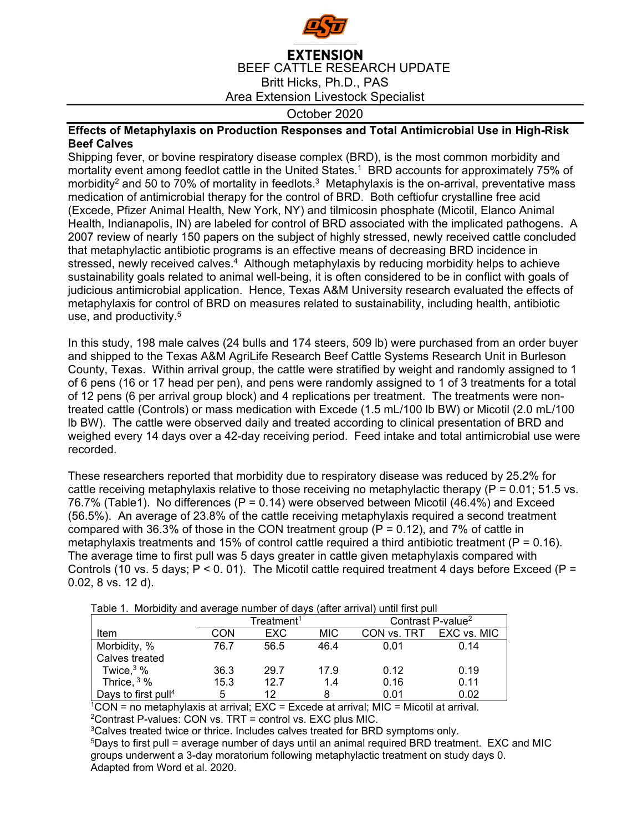

## **EXTENSION** BEEF CATTLE RESEARCH UPDATE Britt Hicks, Ph.D., PAS Area Extension Livestock Specialist

October 2020

## **Effects of Metaphylaxis on Production Responses and Total Antimicrobial Use in High-Risk Beef Calves**

Shipping fever, or bovine respiratory disease complex (BRD), is the most common morbidity and mortality event among feedlot cattle in the United States.1 BRD accounts for approximately 75% of morbidity<sup>2</sup> and 50 to 70% of mortality in feedlots.<sup>3</sup> Metaphylaxis is the on-arrival, preventative mass medication of antimicrobial therapy for the control of BRD. Both ceftiofur crystalline free acid (Excede, Pfizer Animal Health, New York, NY) and tilmicosin phosphate (Micotil, Elanco Animal Health, Indianapolis, IN) are labeled for control of BRD associated with the implicated pathogens. A 2007 review of nearly 150 papers on the subject of highly stressed, newly received cattle concluded that metaphylactic antibiotic programs is an effective means of decreasing BRD incidence in stressed, newly received calves.<sup>4</sup> Although metaphylaxis by reducing morbidity helps to achieve sustainability goals related to animal well-being, it is often considered to be in conflict with goals of judicious antimicrobial application. Hence, Texas A&M University research evaluated the effects of metaphylaxis for control of BRD on measures related to sustainability, including health, antibiotic use, and productivity.<sup>5</sup>

In this study, 198 male calves (24 bulls and 174 steers, 509 lb) were purchased from an order buyer and shipped to the Texas A&M AgriLife Research Beef Cattle Systems Research Unit in Burleson County, Texas. Within arrival group, the cattle were stratified by weight and randomly assigned to 1 of 6 pens (16 or 17 head per pen), and pens were randomly assigned to 1 of 3 treatments for a total of 12 pens (6 per arrival group block) and 4 replications per treatment. The treatments were nontreated cattle (Controls) or mass medication with Excede (1.5 mL/100 lb BW) or Micotil (2.0 mL/100 lb BW). The cattle were observed daily and treated according to clinical presentation of BRD and weighed every 14 days over a 42-day receiving period. Feed intake and total antimicrobial use were recorded.

These researchers reported that morbidity due to respiratory disease was reduced by 25.2% for cattle receiving metaphylaxis relative to those receiving no metaphylactic therapy ( $P = 0.01$ ; 51.5 vs. 76.7% (Table1). No differences (P = 0.14) were observed between Micotil (46.4%) and Exceed (56.5%). An average of 23.8% of the cattle receiving metaphylaxis required a second treatment compared with 36.3% of those in the CON treatment group ( $P = 0.12$ ), and 7% of cattle in metaphylaxis treatments and 15% of control cattle required a third antibiotic treatment ( $P = 0.16$ ). The average time to first pull was 5 days greater in cattle given metaphylaxis compared with Controls (10 vs. 5 days;  $P < 0.01$ ). The Micotil cattle required treatment 4 days before Exceed (P = 0.02, 8 vs. 12 d).

| Table 1. Morbidity and average number of days (after arrival) until first pull |                   |      |      |                               |      |
|--------------------------------------------------------------------------------|-------------------|------|------|-------------------------------|------|
|                                                                                | $\sf Treatment^1$ |      |      | Contrast P-value <sup>2</sup> |      |
| Item                                                                           | CON               | EXC  | MIC  | CON vs. TRT EXC vs. MIC       |      |
| Morbidity, %                                                                   | 76.7              | 56.5 | 46.4 | 0.01                          | 0.14 |
| Calves treated                                                                 |                   |      |      |                               |      |
| Twice, $3\%$                                                                   | 36.3              | 29.7 | 17.9 | 0.12                          | 0.19 |
| Thrice, $3\%$                                                                  | 15.3              | 12.7 | 1.4  | 0.16                          | 0.11 |
| Days to first pull <sup>4</sup>                                                | 5                 | 12   |      | 0.01                          | 0.02 |

Table 1. Morbidity and average number of days (after arrival) until first pull

 $1^{\circ}$ CON = no metaphylaxis at arrival; EXC = Excede at arrival; MIC = Micotil at arrival.  $2$ Contrast P-values: CON vs. TRT = control vs. EXC plus MIC.

<sup>3</sup>Calves treated twice or thrice. Includes calves treated for BRD symptoms only.

5Days to first pull = average number of days until an animal required BRD treatment. EXC and MIC groups underwent a 3-day moratorium following metaphylactic treatment on study days 0. Adapted from Word et al. 2020.